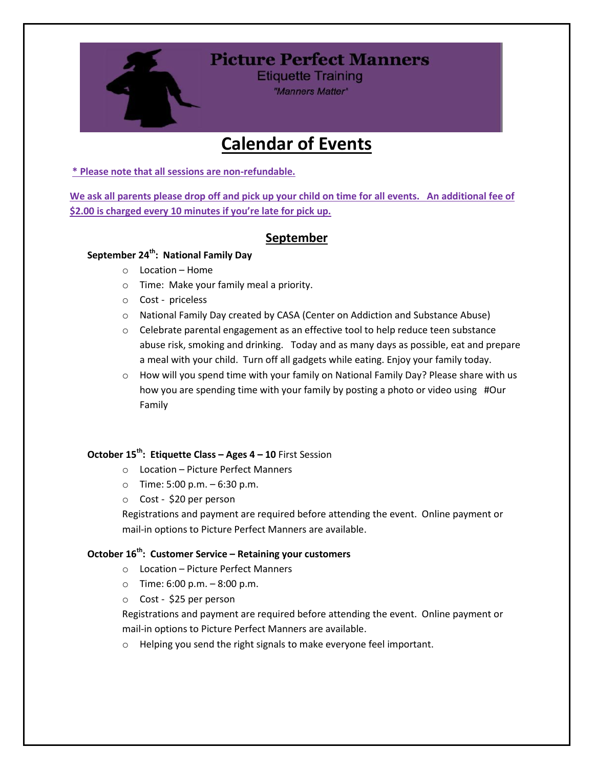

# **Picture Perfect Manners**

**Etiquette Training** "Manners Matter"

# **Calendar of Events**

**\* Please note that all sessions are non-refundable.** 

**We ask all parents please drop off and pick up your child on time for all events. An additional fee of \$2.00 is charged every 10 minutes if you're late for pick up.**

# **September**

# **September 24th: National Family Day**

- o Location Home
- o Time: Make your family meal a priority.
- o Cost priceless
- o National Family Day created by CASA (Center on Addiction and Substance Abuse)
- $\circ$  Celebrate parental engagement as an effective tool to help reduce teen substance abuse risk, smoking and drinking. Today and as many days as possible, eat and prepare a meal with your child. Turn off all gadgets while eating. Enjoy your family today.
- $\circ$  How will you spend time with your family on National Family Day? Please share with us how you are spending time with your family by posting a photo or video using #Our Family

## **October 15th: Etiquette Class – Ages 4 – 10** First Session

- o Location Picture Perfect Manners
- $\circ$  Time: 5:00 p.m. 6:30 p.m.
- o Cost \$20 per person

Registrations and payment are required before attending the event. Online payment or mail-in options to Picture Perfect Manners are available.

#### **October 16th: Customer Service – Retaining your customers**

- o Location Picture Perfect Manners
- $\circ$  Time: 6:00 p.m.  $-8:00$  p.m.
- o Cost \$25 per person

Registrations and payment are required before attending the event. Online payment or mail-in options to Picture Perfect Manners are available.

o Helping you send the right signals to make everyone feel important.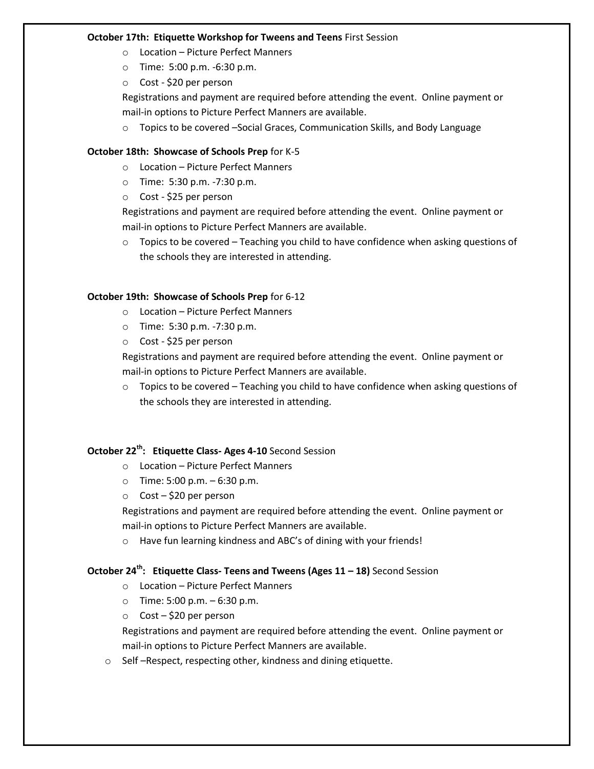#### **October 17th: Etiquette Workshop for Tweens and Teens** First Session

- o Location Picture Perfect Manners
- o Time: 5:00 p.m. -6:30 p.m.
- o Cost \$20 per person

Registrations and payment are required before attending the event. Online payment or mail-in options to Picture Perfect Manners are available.

o Topics to be covered –Social Graces, Communication Skills, and Body Language

#### **October 18th: Showcase of Schools Prep** for K-5

- o Location Picture Perfect Manners
- o Time: 5:30 p.m. -7:30 p.m.
- o Cost \$25 per person

Registrations and payment are required before attending the event. Online payment or mail-in options to Picture Perfect Manners are available.

 $\circ$  Topics to be covered – Teaching you child to have confidence when asking questions of the schools they are interested in attending.

#### **October 19th: Showcase of Schools Prep** for 6-12

- o Location Picture Perfect Manners
- o Time: 5:30 p.m. -7:30 p.m.
- o Cost \$25 per person

Registrations and payment are required before attending the event. Online payment or mail-in options to Picture Perfect Manners are available.

 $\circ$  Topics to be covered – Teaching you child to have confidence when asking questions of the schools they are interested in attending.

### **October 22 th: Etiquette Class- Ages 4-10** Second Session

- o Location Picture Perfect Manners
- o Time: 5:00 p.m. 6:30 p.m.
- o Cost \$20 per person

Registrations and payment are required before attending the event. Online payment or mail-in options to Picture Perfect Manners are available.

o Have fun learning kindness and ABC's of dining with your friends!

## **October 24 th: Etiquette Class- Teens and Tweens (Ages 11 – 18)** Second Session

- o Location Picture Perfect Manners
- $\circ$  Time: 5:00 p.m. 6:30 p.m.
- o Cost \$20 per person

Registrations and payment are required before attending the event. Online payment or mail-in options to Picture Perfect Manners are available.

o Self –Respect, respecting other, kindness and dining etiquette.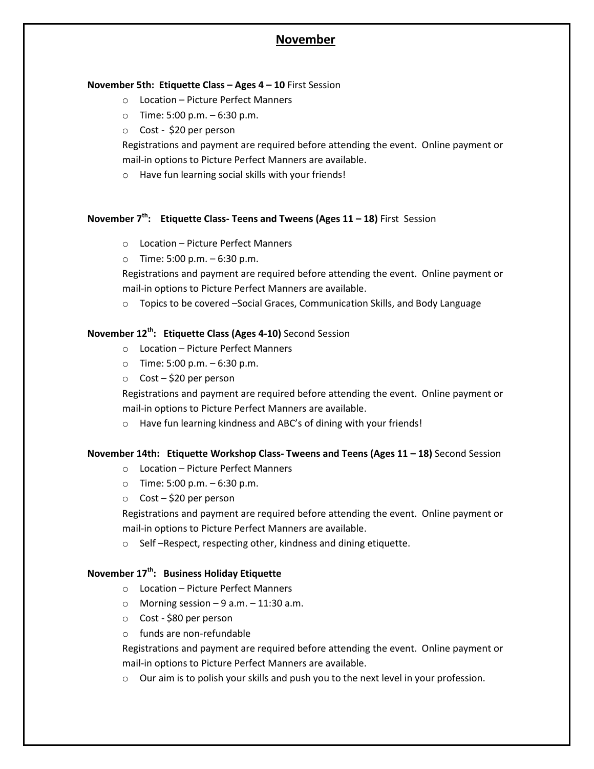# **November**

#### **November 5th: Etiquette Class – Ages 4 – 10** First Session

- o Location Picture Perfect Manners
- $\circ$  Time: 5:00 p.m.  $-6:30$  p.m.
- o Cost \$20 per person

Registrations and payment are required before attending the event. Online payment or mail-in options to Picture Perfect Manners are available.

o Have fun learning social skills with your friends!

### **November 7 th: Etiquette Class- Teens and Tweens (Ages 11 – 18)** First Session

- o Location Picture Perfect Manners
- $\circ$  Time: 5:00 p.m.  $-6:30$  p.m.

Registrations and payment are required before attending the event. Online payment or mail-in options to Picture Perfect Manners are available.

o Topics to be covered –Social Graces, Communication Skills, and Body Language

## **November 12 th: Etiquette Class (Ages 4-10)** Second Session

- o Location Picture Perfect Manners
- $\circ$  Time: 5:00 p.m. 6:30 p.m.
- o Cost \$20 per person

Registrations and payment are required before attending the event. Online payment or mail-in options to Picture Perfect Manners are available.

o Have fun learning kindness and ABC's of dining with your friends!

#### **November 14th: Etiquette Workshop Class- Tweens and Teens (Ages 11 – 18)** Second Session

- o Location Picture Perfect Manners
- $\circ$  Time: 5:00 p.m.  $-6:30$  p.m.
- $\circ$  Cost \$20 per person

Registrations and payment are required before attending the event. Online payment or mail-in options to Picture Perfect Manners are available.

o Self –Respect, respecting other, kindness and dining etiquette.

## **November 17th: Business Holiday Etiquette**

- o Location Picture Perfect Manners
- $\circ$  Morning session 9 a.m. 11:30 a.m.
- o Cost \$80 per person
- o funds are non-refundable

Registrations and payment are required before attending the event. Online payment or mail-in options to Picture Perfect Manners are available.

o Our aim is to polish your skills and push you to the next level in your profession.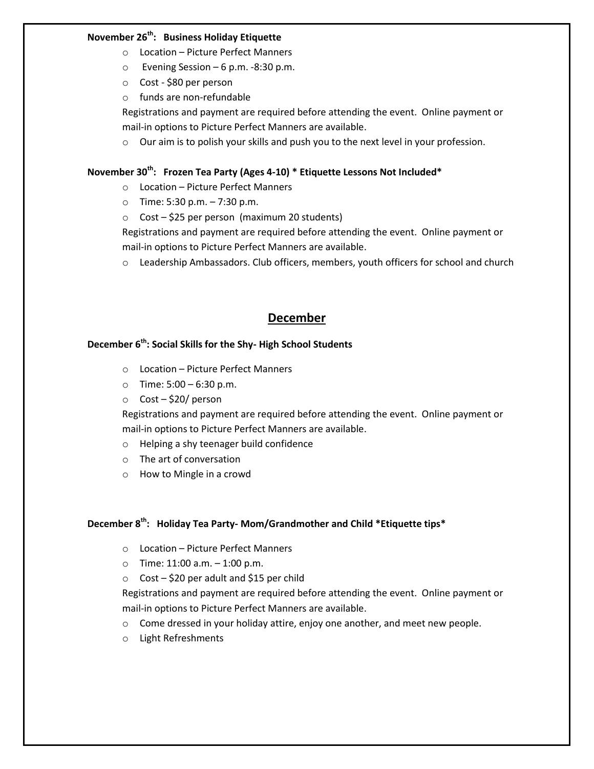### **November 26 th: Business Holiday Etiquette**

- o Location Picture Perfect Manners
- o Evening Session 6 p.m. -8:30 p.m.
- o Cost \$80 per person
- o funds are non-refundable

Registrations and payment are required before attending the event. Online payment or mail-in options to Picture Perfect Manners are available.

o Our aim is to polish your skills and push you to the next level in your profession.

## **November 30th: Frozen Tea Party (Ages 4-10) \* Etiquette Lessons Not Included\***

- o Location Picture Perfect Manners
- o Time: 5:30 p.m. 7:30 p.m.
- $\circ$  Cost \$25 per person (maximum 20 students)

Registrations and payment are required before attending the event. Online payment or mail-in options to Picture Perfect Manners are available.

 $\circ$  Leadership Ambassadors. Club officers, members, youth officers for school and church

# **December**

#### **December 6th: Social Skills for the Shy- High School Students**

- o Location Picture Perfect Manners
- $\circ$  Time: 5:00 6:30 p.m.
- o Cost \$20/ person

Registrations and payment are required before attending the event. Online payment or mail-in options to Picture Perfect Manners are available.

- o Helping a shy teenager build confidence
- o The art of conversation
- o How to Mingle in a crowd

#### **December 8th: Holiday Tea Party- Mom/Grandmother and Child \*Etiquette tips\***

- o Location Picture Perfect Manners
- $\circ$  Time: 11:00 a.m.  $-$  1:00 p.m.
- $\circ$  Cost \$20 per adult and \$15 per child

Registrations and payment are required before attending the event. Online payment or mail-in options to Picture Perfect Manners are available.

- o Come dressed in your holiday attire, enjoy one another, and meet new people.
- o Light Refreshments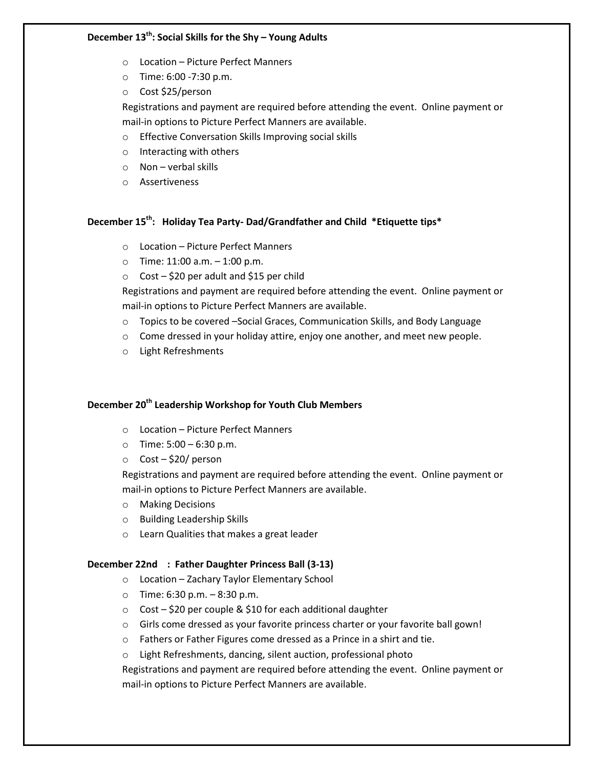## **December 13th: Social Skills for the Shy – Young Adults**

- o Location Picture Perfect Manners
- o Time: 6:00 -7:30 p.m.
- o Cost \$25/person

Registrations and payment are required before attending the event. Online payment or mail-in options to Picture Perfect Manners are available.

- o Effective Conversation Skills Improving social skills
- o Interacting with others
- $\circ$  Non verbal skills
- o Assertiveness

# **December 15th: Holiday Tea Party- Dad/Grandfather and Child \*Etiquette tips\***

- o Location Picture Perfect Manners
- $\circ$  Time: 11:00 a.m.  $-1:00$  p.m.
- $\circ$  Cost \$20 per adult and \$15 per child

Registrations and payment are required before attending the event. Online payment or mail-in options to Picture Perfect Manners are available.

- $\circ$  Topics to be covered –Social Graces, Communication Skills, and Body Language
- o Come dressed in your holiday attire, enjoy one another, and meet new people.
- o Light Refreshments

## **December 20th Leadership Workshop for Youth Club Members**

- o Location Picture Perfect Manners
- $\circ$  Time: 5:00 6:30 p.m.
- o Cost \$20/ person

Registrations and payment are required before attending the event. Online payment or mail-in options to Picture Perfect Manners are available.

- o Making Decisions
- o Building Leadership Skills
- o Learn Qualities that makes a great leader

#### **December 22nd : Father Daughter Princess Ball (3-13)**

- o Location Zachary Taylor Elementary School
- $\circ$  Time: 6:30 p.m. 8:30 p.m.
- $\circ$  Cost \$20 per couple & \$10 for each additional daughter
- o Girls come dressed as your favorite princess charter or your favorite ball gown!
- o Fathers or Father Figures come dressed as a Prince in a shirt and tie.
- o Light Refreshments, dancing, silent auction, professional photo

Registrations and payment are required before attending the event. Online payment or mail-in options to Picture Perfect Manners are available.